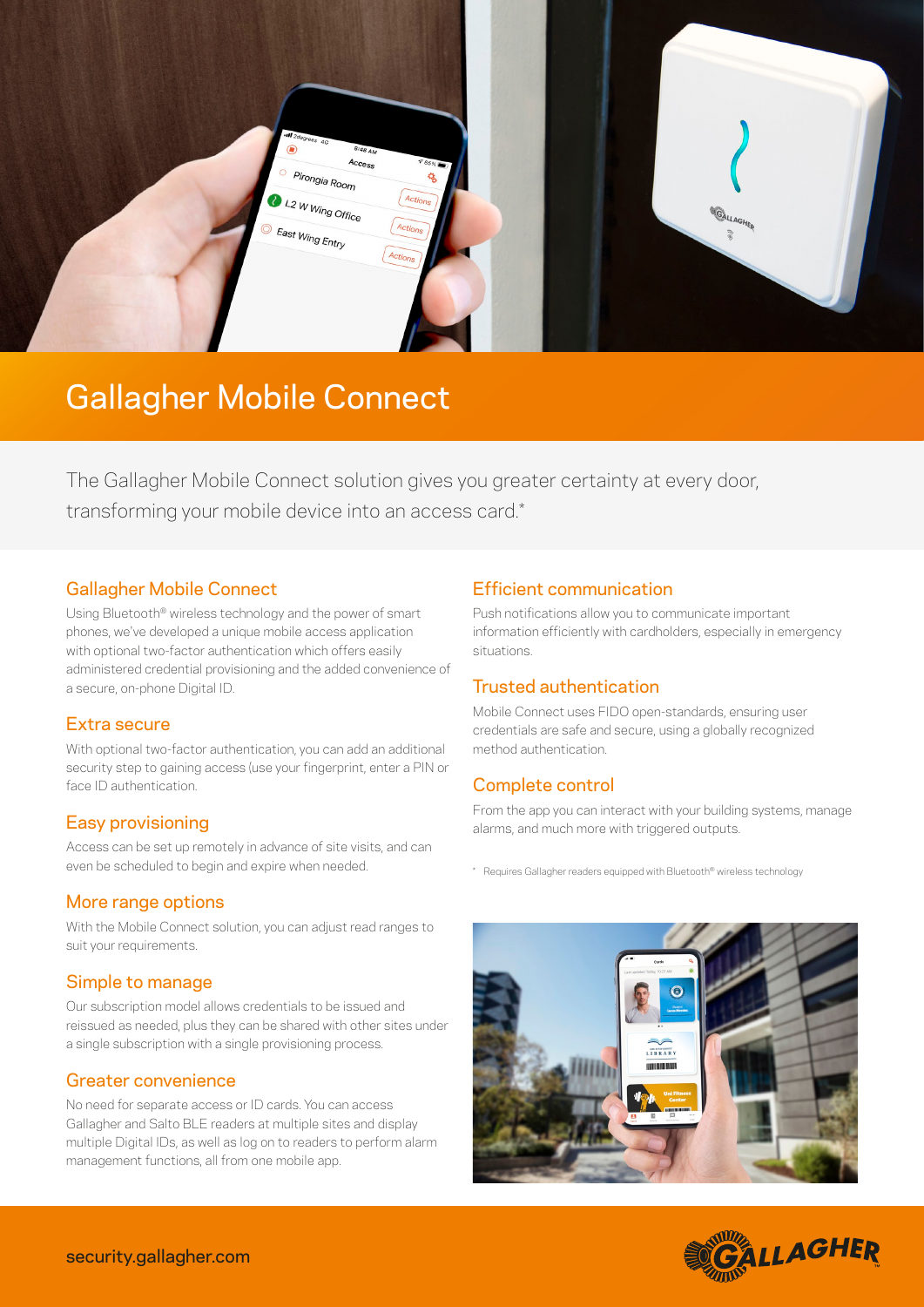

## Gallagher Mobile Connect

The Gallagher Mobile Connect solution gives you greater certainty at every door, transforming your mobile device into an access card.\*

#### Gallagher Mobile Connect

Using Bluetooth® wireless technology and the power of smart phones, we've developed a unique mobile access application with optional two-factor authentication which offers easily administered credential provisioning and the added convenience of a secure, on-phone Digital ID.

#### Extra secure

With optional two-factor authentication, you can add an additional security step to gaining access (use your fingerprint, enter a PIN or face ID authentication.

#### Easy provisioning

Access can be set up remotely in advance of site visits, and can even be scheduled to begin and expire when needed.

#### More range options

With the Mobile Connect solution, you can adjust read ranges to suit your requirements.

#### Simple to manage

Our subscription model allows credentials to be issued and reissued as needed, plus they can be shared with other sites under a single subscription with a single provisioning process.

#### Greater convenience

No need for separate access or ID cards. You can access Gallagher and Salto BLE readers at multiple sites and display multiple Digital IDs, as well as log on to readers to perform alarm management functions, all from one mobile app.

#### Efficient communication

Push notifications allow you to communicate important information efficiently with cardholders, especially in emergency situations.

#### Trusted authentication

Mobile Connect uses FIDO open-standards, ensuring user credentials are safe and secure, using a globally recognized method authentication.

### Complete control

From the app you can interact with your building systems, manage alarms, and much more with triggered outputs.

\* Requires Gallagher readers equipped with Bluetooth® wireless technology